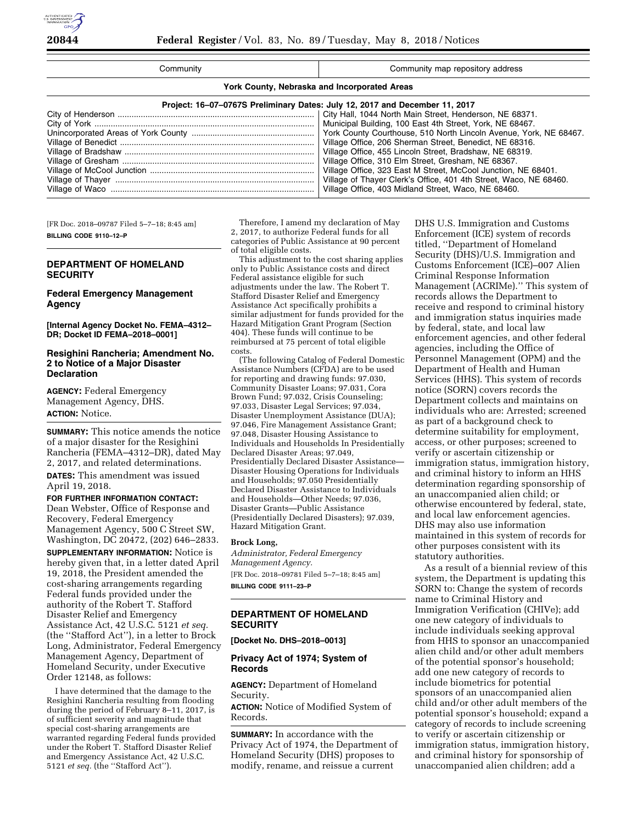| Community                                                                   | Community map repository address                                  |  |  |
|-----------------------------------------------------------------------------|-------------------------------------------------------------------|--|--|
| York County, Nebraska and Incorporated Areas                                |                                                                   |  |  |
| Project: 16-07-0767S Preliminary Dates: July 12, 2017 and December 11, 2017 |                                                                   |  |  |
|                                                                             |                                                                   |  |  |
|                                                                             | Municipal Building, 100 East 4th Street, York, NE 68467.          |  |  |
|                                                                             | York County Courthouse, 510 North Lincoln Avenue, York, NE 68467. |  |  |
|                                                                             | Village Office, 206 Sherman Street, Benedict, NE 68316.           |  |  |
|                                                                             | Village Office, 455 Lincoln Street, Bradshaw, NE 68319.           |  |  |
|                                                                             | Village Office, 310 Elm Street, Gresham, NE 68367.                |  |  |
|                                                                             | Village Office, 323 East M Street, McCool Junction, NE 68401.     |  |  |
|                                                                             | Village of Thayer Clerk's Office, 401 4th Street, Waco, NE 68460. |  |  |
|                                                                             | Village Office, 403 Midland Street, Waco, NE 68460.               |  |  |

[FR Doc. 2018–09787 Filed 5–7–18; 8:45 am] **BILLING CODE 9110–12–P** 

# **DEPARTMENT OF HOMELAND SECURITY**

# **Federal Emergency Management Agency**

**[Internal Agency Docket No. FEMA–4312– DR; Docket ID FEMA–2018–0001]** 

# **Resighini Rancheria; Amendment No. 2 to Notice of a Major Disaster Declaration**

**AGENCY:** Federal Emergency Management Agency, DHS. **ACTION:** Notice.

**SUMMARY:** This notice amends the notice of a major disaster for the Resighini Rancheria (FEMA–4312–DR), dated May 2, 2017, and related determinations.

**DATES:** This amendment was issued April 19, 2018.

# **FOR FURTHER INFORMATION CONTACT:**  Dean Webster, Office of Response and Recovery, Federal Emergency Management Agency, 500 C Street SW, Washington, DC 20472, (202) 646–2833.

**SUPPLEMENTARY INFORMATION:** Notice is hereby given that, in a letter dated April 19, 2018, the President amended the cost-sharing arrangements regarding Federal funds provided under the authority of the Robert T. Stafford Disaster Relief and Emergency Assistance Act, 42 U.S.C. 5121 *et seq.*  (the ''Stafford Act''), in a letter to Brock Long, Administrator, Federal Emergency Management Agency, Department of Homeland Security, under Executive Order 12148, as follows:

I have determined that the damage to the Resighini Rancheria resulting from flooding during the period of February 8–11, 2017, is of sufficient severity and magnitude that special cost-sharing arrangements are warranted regarding Federal funds provided under the Robert T. Stafford Disaster Relief and Emergency Assistance Act, 42 U.S.C. 5121 *et seq.* (the ''Stafford Act'').

Therefore, I amend my declaration of May 2, 2017, to authorize Federal funds for all categories of Public Assistance at 90 percent of total eligible costs.

This adjustment to the cost sharing applies only to Public Assistance costs and direct Federal assistance eligible for such adjustments under the law. The Robert T. Stafford Disaster Relief and Emergency Assistance Act specifically prohibits a similar adjustment for funds provided for the Hazard Mitigation Grant Program (Section 404). These funds will continue to be reimbursed at 75 percent of total eligible costs.

(The following Catalog of Federal Domestic Assistance Numbers (CFDA) are to be used for reporting and drawing funds: 97.030, Community Disaster Loans; 97.031, Cora Brown Fund; 97.032, Crisis Counseling; 97.033, Disaster Legal Services; 97.034, Disaster Unemployment Assistance (DUA); 97.046, Fire Management Assistance Grant; 97.048, Disaster Housing Assistance to Individuals and Households In Presidentially Declared Disaster Areas; 97.049, Presidentially Declared Disaster Assistance— Disaster Housing Operations for Individuals and Households; 97.050 Presidentially Declared Disaster Assistance to Individuals and Households—Other Needs; 97.036, Disaster Grants—Public Assistance (Presidentially Declared Disasters); 97.039, Hazard Mitigation Grant.

#### **Brock Long,**

*Administrator, Federal Emergency Management Agency.*  [FR Doc. 2018–09781 Filed 5–7–18; 8:45 am] **BILLING CODE 9111–23–P** 

# **DEPARTMENT OF HOMELAND SECURITY**

**[Docket No. DHS–2018–0013]** 

# **Privacy Act of 1974; System of Records**

**AGENCY:** Department of Homeland Security.

**ACTION:** Notice of Modified System of Records.

**SUMMARY:** In accordance with the Privacy Act of 1974, the Department of Homeland Security (DHS) proposes to modify, rename, and reissue a current

DHS U.S. Immigration and Customs Enforcement (ICE) system of records titled, ''Department of Homeland Security (DHS)/U.S. Immigration and Customs Enforcement (ICE)–007 Alien Criminal Response Information Management (ACRIMe).'' This system of records allows the Department to receive and respond to criminal history and immigration status inquiries made by federal, state, and local law enforcement agencies, and other federal agencies, including the Office of Personnel Management (OPM) and the Department of Health and Human Services (HHS). This system of records notice (SORN) covers records the Department collects and maintains on individuals who are: Arrested; screened as part of a background check to determine suitability for employment, access, or other purposes; screened to verify or ascertain citizenship or immigration status, immigration history, and criminal history to inform an HHS determination regarding sponsorship of an unaccompanied alien child; or otherwise encountered by federal, state, and local law enforcement agencies. DHS may also use information maintained in this system of records for other purposes consistent with its statutory authorities.

As a result of a biennial review of this system, the Department is updating this SORN to: Change the system of records name to Criminal History and Immigration Verification (CHIVe); add one new category of individuals to include individuals seeking approval from HHS to sponsor an unaccompanied alien child and/or other adult members of the potential sponsor's household; add one new category of records to include biometrics for potential sponsors of an unaccompanied alien child and/or other adult members of the potential sponsor's household; expand a category of records to include screening to verify or ascertain citizenship or immigration status, immigration history, and criminal history for sponsorship of unaccompanied alien children; add a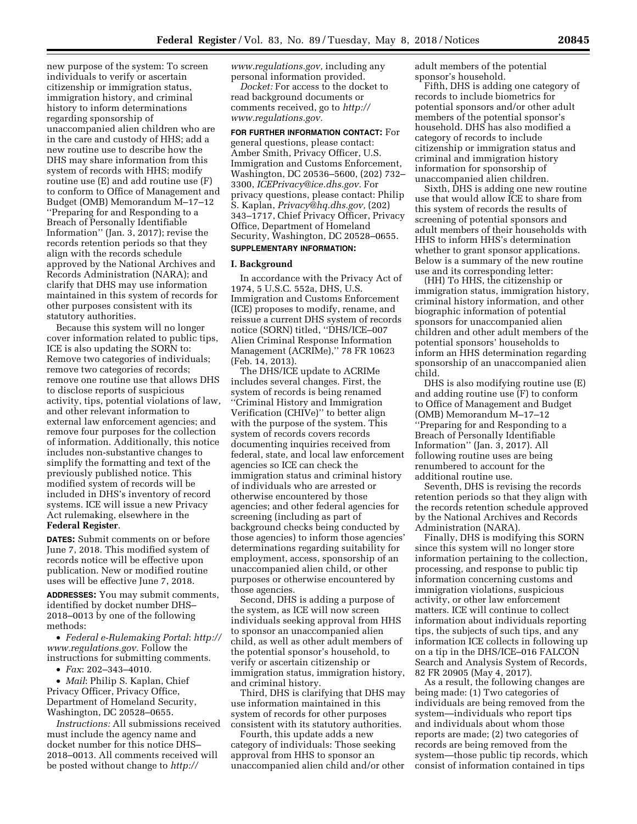new purpose of the system: To screen individuals to verify or ascertain citizenship or immigration status, immigration history, and criminal history to inform determinations regarding sponsorship of unaccompanied alien children who are in the care and custody of HHS; add a new routine use to describe how the DHS may share information from this system of records with HHS; modify routine use (E) and add routine use (F) to conform to Office of Management and Budget (OMB) Memorandum M–17–12 ''Preparing for and Responding to a Breach of Personally Identifiable Information'' (Jan. 3, 2017); revise the records retention periods so that they align with the records schedule approved by the National Archives and Records Administration (NARA); and clarify that DHS may use information maintained in this system of records for other purposes consistent with its statutory authorities.

Because this system will no longer cover information related to public tips, ICE is also updating the SORN to: Remove two categories of individuals; remove two categories of records; remove one routine use that allows DHS to disclose reports of suspicious activity, tips, potential violations of law, and other relevant information to external law enforcement agencies; and remove four purposes for the collection of information. Additionally, this notice includes non-substantive changes to simplify the formatting and text of the previously published notice. This modified system of records will be included in DHS's inventory of record systems. ICE will issue a new Privacy Act rulemaking, elsewhere in the **Federal Register**.

**DATES:** Submit comments on or before June 7, 2018. This modified system of records notice will be effective upon publication. New or modified routine uses will be effective June 7, 2018.

**ADDRESSES:** You may submit comments, identified by docket number DHS– 2018–0013 by one of the following methods:

• *Federal e-Rulemaking Portal*: *[http://](http://www.regulations.gov)  [www.regulations.gov.](http://www.regulations.gov)* Follow the instructions for submitting comments.

• *Fax*: 202–343–4010.

• *Mail*: Philip S. Kaplan, Chief Privacy Officer, Privacy Office, Department of Homeland Security, Washington, DC 20528–0655.

*Instructions:* All submissions received must include the agency name and docket number for this notice DHS– 2018–0013. All comments received will be posted without change to *[http://](http://www.regulations.gov)*

*[www.regulations.gov,](http://www.regulations.gov)* including any personal information provided.

*Docket:* For access to the docket to read background documents or comments received, go to *[http://](http://www.regulations.gov) [www.regulations.gov.](http://www.regulations.gov)* 

**FOR FURTHER INFORMATION CONTACT:** For general questions, please contact: Amber Smith, Privacy Officer, U.S. Immigration and Customs Enforcement, Washington, DC 20536–5600, (202) 732– 3300, *[ICEPrivacy@ice.dhs.gov.](mailto:ICEPrivacy@ice.dhs.gov)* For privacy questions, please contact: Philip S. Kaplan, *[Privacy@hq.dhs.gov,](mailto:Privacy@hq.dhs.gov)* (202) 343–1717, Chief Privacy Officer, Privacy Office, Department of Homeland Security, Washington, DC 20528–0655. **SUPPLEMENTARY INFORMATION:** 

#### **I. Background**

In accordance with the Privacy Act of 1974, 5 U.S.C. 552a, DHS, U.S. Immigration and Customs Enforcement (ICE) proposes to modify, rename, and reissue a current DHS system of records notice (SORN) titled, ''DHS/ICE–007 Alien Criminal Response Information Management (ACRIMe),'' 78 FR 10623 (Feb. 14, 2013).

The DHS/ICE update to ACRIMe includes several changes. First, the system of records is being renamed ''Criminal History and Immigration Verification (CHIVe)'' to better align with the purpose of the system. This system of records covers records documenting inquiries received from federal, state, and local law enforcement agencies so ICE can check the immigration status and criminal history of individuals who are arrested or otherwise encountered by those agencies; and other federal agencies for screening (including as part of background checks being conducted by those agencies) to inform those agencies' determinations regarding suitability for employment, access, sponsorship of an unaccompanied alien child, or other purposes or otherwise encountered by those agencies.

Second, DHS is adding a purpose of the system, as ICE will now screen individuals seeking approval from HHS to sponsor an unaccompanied alien child, as well as other adult members of the potential sponsor's household, to verify or ascertain citizenship or immigration status, immigration history, and criminal history.

Third, DHS is clarifying that DHS may use information maintained in this system of records for other purposes consistent with its statutory authorities.

Fourth, this update adds a new category of individuals: Those seeking approval from HHS to sponsor an unaccompanied alien child and/or other adult members of the potential sponsor's household.

Fifth, DHS is adding one category of records to include biometrics for potential sponsors and/or other adult members of the potential sponsor's household. DHS has also modified a category of records to include citizenship or immigration status and criminal and immigration history information for sponsorship of unaccompanied alien children.

Sixth, DHS is adding one new routine use that would allow ICE to share from this system of records the results of screening of potential sponsors and adult members of their households with HHS to inform HHS's determination whether to grant sponsor applications. Below is a summary of the new routine use and its corresponding letter:

(HH) To HHS, the citizenship or immigration status, immigration history, criminal history information, and other biographic information of potential sponsors for unaccompanied alien children and other adult members of the potential sponsors' households to inform an HHS determination regarding sponsorship of an unaccompanied alien child.

DHS is also modifying routine use (E) and adding routine use (F) to conform to Office of Management and Budget (OMB) Memorandum M–17–12 ''Preparing for and Responding to a Breach of Personally Identifiable Information'' (Jan. 3, 2017). All following routine uses are being renumbered to account for the additional routine use.

Seventh, DHS is revising the records retention periods so that they align with the records retention schedule approved by the National Archives and Records Administration (NARA).

Finally, DHS is modifying this SORN since this system will no longer store information pertaining to the collection, processing, and response to public tip information concerning customs and immigration violations, suspicious activity, or other law enforcement matters. ICE will continue to collect information about individuals reporting tips, the subjects of such tips, and any information ICE collects in following up on a tip in the DHS/ICE–016 FALCON Search and Analysis System of Records, 82 FR 20905 (May 4, 2017).

As a result, the following changes are being made: (1) Two categories of individuals are being removed from the system—individuals who report tips and individuals about whom those reports are made; (2) two categories of records are being removed from the system—those public tip records, which consist of information contained in tips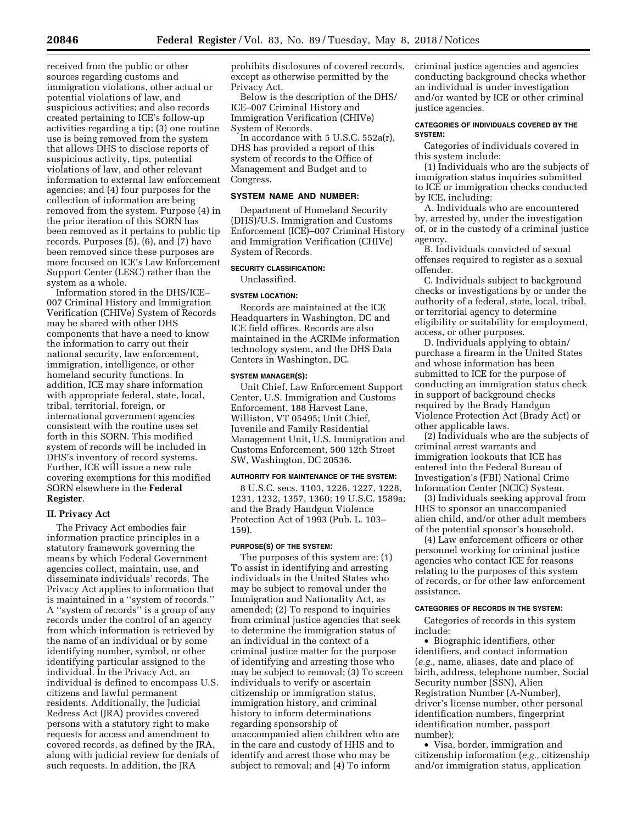suspicious activities; and also records created pertaining to ICE's follow-up activities regarding a tip; (3) one routine use is being removed from the system that allows DHS to disclose reports of suspicious activity, tips, potential violations of law, and other relevant information to external law enforcement agencies; and (4) four purposes for the collection of information are being removed from the system. Purpose (4) in the prior iteration of this SORN has been removed as it pertains to public tip records. Purposes (5), (6), and (7) have been removed since these purposes are more focused on ICE's Law Enforcement Support Center (LESC) rather than the system as a whole.

Information stored in the DHS/ICE– 007 Criminal History and Immigration Verification (CHIVe) System of Records may be shared with other DHS components that have a need to know the information to carry out their national security, law enforcement, immigration, intelligence, or other homeland security functions. In addition, ICE may share information with appropriate federal, state, local, tribal, territorial, foreign, or international government agencies consistent with the routine uses set forth in this SORN. This modified system of records will be included in DHS's inventory of record systems. Further, ICE will issue a new rule covering exemptions for this modified SORN elsewhere in the **Federal Register**.

## **II. Privacy Act**

The Privacy Act embodies fair information practice principles in a statutory framework governing the means by which Federal Government agencies collect, maintain, use, and disseminate individuals' records. The Privacy Act applies to information that is maintained in a ''system of records.'' A ''system of records'' is a group of any records under the control of an agency from which information is retrieved by the name of an individual or by some identifying number, symbol, or other identifying particular assigned to the individual. In the Privacy Act, an individual is defined to encompass U.S. citizens and lawful permanent residents. Additionally, the Judicial Redress Act (JRA) provides covered persons with a statutory right to make requests for access and amendment to covered records, as defined by the JRA, along with judicial review for denials of such requests. In addition, the JRA

prohibits disclosures of covered records, except as otherwise permitted by the Privacy Act.

Below is the description of the DHS/ ICE–007 Criminal History and Immigration Verification (CHIVe) System of Records.

In accordance with 5 U.S.C. 552a(r), DHS has provided a report of this system of records to the Office of Management and Budget and to Congress.

# **SYSTEM NAME AND NUMBER:**

Department of Homeland Security (DHS)/U.S. Immigration and Customs Enforcement (ICE)–007 Criminal History and Immigration Verification (CHIVe) System of Records.

## **SECURITY CLASSIFICATION:**

Unclassified.

## **SYSTEM LOCATION:**

Records are maintained at the ICE Headquarters in Washington, DC and ICE field offices. Records are also maintained in the ACRIMe information technology system, and the DHS Data Centers in Washington, DC.

## **SYSTEM MANAGER(S):**

Unit Chief, Law Enforcement Support Center, U.S. Immigration and Customs Enforcement, 188 Harvest Lane, Williston, VT 05495; Unit Chief, Juvenile and Family Residential Management Unit, U.S. Immigration and Customs Enforcement, 500 12th Street SW, Washington, DC 20536.

# **AUTHORITY FOR MAINTENANCE OF THE SYSTEM:**

8 U.S.C. secs. 1103, 1226, 1227, 1228, 1231, 1232, 1357, 1360; 19 U.S.C. 1589a; and the Brady Handgun Violence Protection Act of 1993 (Pub. L. 103– 159).

#### **PURPOSE(S) OF THE SYSTEM:**

The purposes of this system are: (1) To assist in identifying and arresting individuals in the United States who may be subject to removal under the Immigration and Nationality Act, as amended; (2) To respond to inquiries from criminal justice agencies that seek to determine the immigration status of an individual in the context of a criminal justice matter for the purpose of identifying and arresting those who may be subject to removal; (3) To screen individuals to verify or ascertain citizenship or immigration status, immigration history, and criminal history to inform determinations regarding sponsorship of unaccompanied alien children who are in the care and custody of HHS and to identify and arrest those who may be subject to removal; and (4) To inform

criminal justice agencies and agencies conducting background checks whether an individual is under investigation and/or wanted by ICE or other criminal justice agencies.

## **CATEGORIES OF INDIVIDUALS COVERED BY THE SYSTEM:**

Categories of individuals covered in this system include:

(1) Individuals who are the subjects of immigration status inquiries submitted to ICE or immigration checks conducted by ICE, including:

A. Individuals who are encountered by, arrested by, under the investigation of, or in the custody of a criminal justice agency.

B. Individuals convicted of sexual offenses required to register as a sexual offender.

C. Individuals subject to background checks or investigations by or under the authority of a federal, state, local, tribal, or territorial agency to determine eligibility or suitability for employment, access, or other purposes.

D. Individuals applying to obtain/ purchase a firearm in the United States and whose information has been submitted to ICE for the purpose of conducting an immigration status check in support of background checks required by the Brady Handgun Violence Protection Act (Brady Act) or other applicable laws.

(2) Individuals who are the subjects of criminal arrest warrants and immigration lookouts that ICE has entered into the Federal Bureau of Investigation's (FBI) National Crime Information Center (NCIC) System.

(3) Individuals seeking approval from HHS to sponsor an unaccompanied alien child, and/or other adult members of the potential sponsor's household.

(4) Law enforcement officers or other personnel working for criminal justice agencies who contact ICE for reasons relating to the purposes of this system of records, or for other law enforcement assistance.

## **CATEGORIES OF RECORDS IN THE SYSTEM:**

Categories of records in this system include:

• Biographic identifiers, other identifiers, and contact information (*e.g.,* name, aliases, date and place of birth, address, telephone number, Social Security number (SSN), Alien Registration Number (A-Number), driver's license number, other personal identification numbers, fingerprint identification number, passport number);

• Visa, border, immigration and citizenship information (*e.g.,* citizenship and/or immigration status, application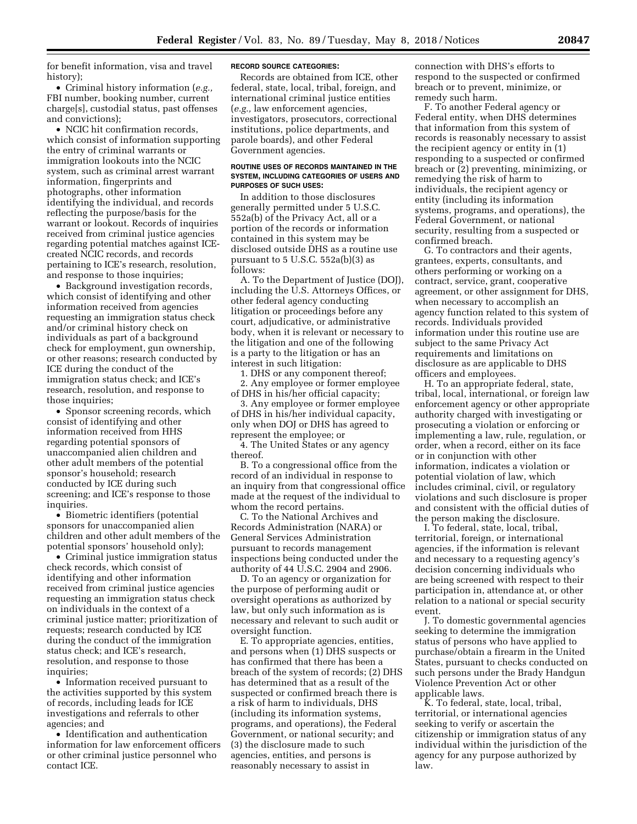for benefit information, visa and travel history);

• Criminal history information (*e.g.,*  FBI number, booking number, current charge[s], custodial status, past offenses and convictions);

• NCIC hit confirmation records. which consist of information supporting the entry of criminal warrants or immigration lookouts into the NCIC system, such as criminal arrest warrant information, fingerprints and photographs, other information identifying the individual, and records reflecting the purpose/basis for the warrant or lookout. Records of inquiries received from criminal justice agencies regarding potential matches against ICEcreated NCIC records, and records pertaining to ICE's research, resolution, and response to those inquiries;

• Background investigation records, which consist of identifying and other information received from agencies requesting an immigration status check and/or criminal history check on individuals as part of a background check for employment, gun ownership, or other reasons; research conducted by ICE during the conduct of the immigration status check; and ICE's research, resolution, and response to those inquiries;

• Sponsor screening records, which consist of identifying and other information received from HHS regarding potential sponsors of unaccompanied alien children and other adult members of the potential sponsor's household; research conducted by ICE during such screening; and ICE's response to those inquiries.

• Biometric identifiers (potential sponsors for unaccompanied alien children and other adult members of the potential sponsors' household only);

• Criminal justice immigration status check records, which consist of identifying and other information received from criminal justice agencies requesting an immigration status check on individuals in the context of a criminal justice matter; prioritization of requests; research conducted by ICE during the conduct of the immigration status check; and ICE's research, resolution, and response to those inquiries;

• Information received pursuant to the activities supported by this system of records, including leads for ICE investigations and referrals to other agencies; and

• Identification and authentication information for law enforcement officers or other criminal justice personnel who contact ICE.

#### **RECORD SOURCE CATEGORIES:**

Records are obtained from ICE, other federal, state, local, tribal, foreign, and international criminal justice entities (*e.g.,* law enforcement agencies, investigators, prosecutors, correctional institutions, police departments, and parole boards), and other Federal Government agencies.

#### **ROUTINE USES OF RECORDS MAINTAINED IN THE SYSTEM, INCLUDING CATEGORIES OF USERS AND PURPOSES OF SUCH USES:**

In addition to those disclosures generally permitted under 5 U.S.C. 552a(b) of the Privacy Act, all or a portion of the records or information contained in this system may be disclosed outside DHS as a routine use pursuant to  $5 \text{ U.S.C. } 552a(b)(3)$  as follows:

A. To the Department of Justice (DOJ), including the U.S. Attorneys Offices, or other federal agency conducting litigation or proceedings before any court, adjudicative, or administrative body, when it is relevant or necessary to the litigation and one of the following is a party to the litigation or has an interest in such litigation:

1. DHS or any component thereof; 2. Any employee or former employee of DHS in his/her official capacity;

3. Any employee or former employee of DHS in his/her individual capacity, only when DOJ or DHS has agreed to represent the employee; or

4. The United States or any agency thereof.

B. To a congressional office from the record of an individual in response to an inquiry from that congressional office made at the request of the individual to whom the record pertains.

C. To the National Archives and Records Administration (NARA) or General Services Administration pursuant to records management inspections being conducted under the authority of 44 U.S.C. 2904 and 2906.

D. To an agency or organization for the purpose of performing audit or oversight operations as authorized by law, but only such information as is necessary and relevant to such audit or oversight function.

E. To appropriate agencies, entities, and persons when (1) DHS suspects or has confirmed that there has been a breach of the system of records; (2) DHS has determined that as a result of the suspected or confirmed breach there is a risk of harm to individuals, DHS (including its information systems, programs, and operations), the Federal Government, or national security; and (3) the disclosure made to such agencies, entities, and persons is reasonably necessary to assist in

connection with DHS's efforts to respond to the suspected or confirmed breach or to prevent, minimize, or remedy such harm.

F. To another Federal agency or Federal entity, when DHS determines that information from this system of records is reasonably necessary to assist the recipient agency or entity in (1) responding to a suspected or confirmed breach or (2) preventing, minimizing, or remedying the risk of harm to individuals, the recipient agency or entity (including its information systems, programs, and operations), the Federal Government, or national security, resulting from a suspected or confirmed breach.

G. To contractors and their agents, grantees, experts, consultants, and others performing or working on a contract, service, grant, cooperative agreement, or other assignment for DHS, when necessary to accomplish an agency function related to this system of records. Individuals provided information under this routine use are subject to the same Privacy Act requirements and limitations on disclosure as are applicable to DHS officers and employees.

H. To an appropriate federal, state, tribal, local, international, or foreign law enforcement agency or other appropriate authority charged with investigating or prosecuting a violation or enforcing or implementing a law, rule, regulation, or order, when a record, either on its face or in conjunction with other information, indicates a violation or potential violation of law, which includes criminal, civil, or regulatory violations and such disclosure is proper and consistent with the official duties of the person making the disclosure.

I. To federal, state, local, tribal, territorial, foreign, or international agencies, if the information is relevant and necessary to a requesting agency's decision concerning individuals who are being screened with respect to their participation in, attendance at, or other relation to a national or special security event.

J. To domestic governmental agencies seeking to determine the immigration status of persons who have applied to purchase/obtain a firearm in the United States, pursuant to checks conducted on such persons under the Brady Handgun Violence Prevention Act or other applicable laws.

K. To federal, state, local, tribal, territorial, or international agencies seeking to verify or ascertain the citizenship or immigration status of any individual within the jurisdiction of the agency for any purpose authorized by law.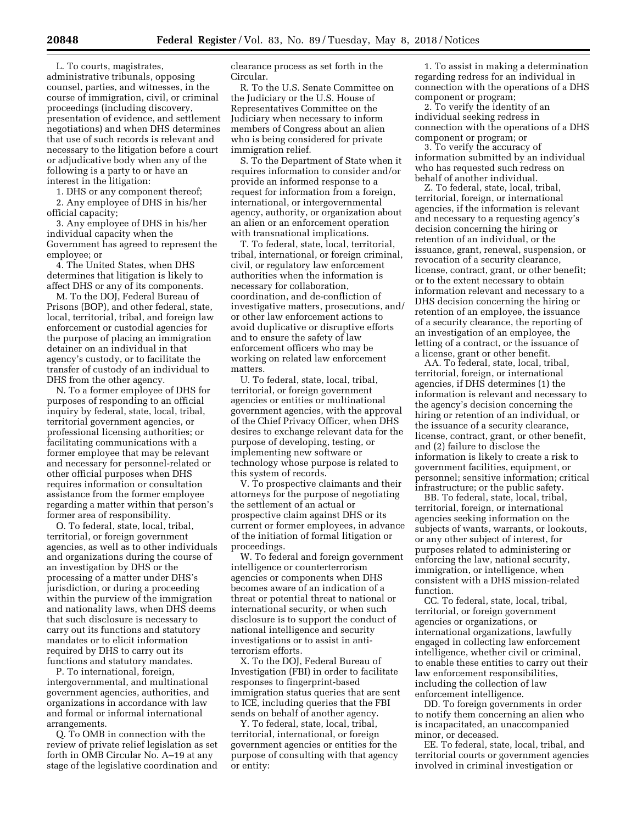L. To courts, magistrates, administrative tribunals, opposing counsel, parties, and witnesses, in the course of immigration, civil, or criminal proceedings (including discovery, presentation of evidence, and settlement negotiations) and when DHS determines that use of such records is relevant and necessary to the litigation before a court or adjudicative body when any of the following is a party to or have an interest in the litigation:

1. DHS or any component thereof; 2. Any employee of DHS in his/her official capacity;

3. Any employee of DHS in his/her individual capacity when the Government has agreed to represent the employee; or

4. The United States, when DHS determines that litigation is likely to affect DHS or any of its components.

M. To the DOJ, Federal Bureau of Prisons (BOP), and other federal, state, local, territorial, tribal, and foreign law enforcement or custodial agencies for the purpose of placing an immigration detainer on an individual in that agency's custody, or to facilitate the transfer of custody of an individual to DHS from the other agency.

N. To a former employee of DHS for purposes of responding to an official inquiry by federal, state, local, tribal, territorial government agencies, or professional licensing authorities; or facilitating communications with a former employee that may be relevant and necessary for personnel-related or other official purposes when DHS requires information or consultation assistance from the former employee regarding a matter within that person's former area of responsibility.

O. To federal, state, local, tribal, territorial, or foreign government agencies, as well as to other individuals and organizations during the course of an investigation by DHS or the processing of a matter under DHS's jurisdiction, or during a proceeding within the purview of the immigration and nationality laws, when DHS deems that such disclosure is necessary to carry out its functions and statutory mandates or to elicit information required by DHS to carry out its functions and statutory mandates.

P. To international, foreign, intergovernmental, and multinational government agencies, authorities, and organizations in accordance with law and formal or informal international arrangements.

Q. To OMB in connection with the review of private relief legislation as set forth in OMB Circular No. A–19 at any stage of the legislative coordination and clearance process as set forth in the Circular.

R. To the U.S. Senate Committee on the Judiciary or the U.S. House of Representatives Committee on the Judiciary when necessary to inform members of Congress about an alien who is being considered for private immigration relief.

S. To the Department of State when it requires information to consider and/or provide an informed response to a request for information from a foreign, international, or intergovernmental agency, authority, or organization about an alien or an enforcement operation with transnational implications.

T. To federal, state, local, territorial, tribal, international, or foreign criminal, civil, or regulatory law enforcement authorities when the information is necessary for collaboration, coordination, and de-confliction of investigative matters, prosecutions, and/ or other law enforcement actions to avoid duplicative or disruptive efforts and to ensure the safety of law enforcement officers who may be working on related law enforcement matters.

U. To federal, state, local, tribal, territorial, or foreign government agencies or entities or multinational government agencies, with the approval of the Chief Privacy Officer, when DHS desires to exchange relevant data for the purpose of developing, testing, or implementing new software or technology whose purpose is related to this system of records.

V. To prospective claimants and their attorneys for the purpose of negotiating the settlement of an actual or prospective claim against DHS or its current or former employees, in advance of the initiation of formal litigation or proceedings.

W. To federal and foreign government intelligence or counterterrorism agencies or components when DHS becomes aware of an indication of a threat or potential threat to national or international security, or when such disclosure is to support the conduct of national intelligence and security investigations or to assist in antiterrorism efforts.

X. To the DOJ, Federal Bureau of Investigation (FBI) in order to facilitate responses to fingerprint-based immigration status queries that are sent to ICE, including queries that the FBI sends on behalf of another agency.

Y. To federal, state, local, tribal, territorial, international, or foreign government agencies or entities for the purpose of consulting with that agency or entity:

1. To assist in making a determination regarding redress for an individual in connection with the operations of a DHS component or program;

2. To verify the identity of an individual seeking redress in connection with the operations of a DHS component or program; or

3. To verify the accuracy of information submitted by an individual who has requested such redress on behalf of another individual.

Z. To federal, state, local, tribal, territorial, foreign, or international agencies, if the information is relevant and necessary to a requesting agency's decision concerning the hiring or retention of an individual, or the issuance, grant, renewal, suspension, or revocation of a security clearance, license, contract, grant, or other benefit; or to the extent necessary to obtain information relevant and necessary to a DHS decision concerning the hiring or retention of an employee, the issuance of a security clearance, the reporting of an investigation of an employee, the letting of a contract, or the issuance of a license, grant or other benefit.

AA. To federal, state, local, tribal, territorial, foreign, or international agencies, if DHS determines (1) the information is relevant and necessary to the agency's decision concerning the hiring or retention of an individual, or the issuance of a security clearance, license, contract, grant, or other benefit, and (2) failure to disclose the information is likely to create a risk to government facilities, equipment, or personnel; sensitive information; critical infrastructure; or the public safety.

BB. To federal, state, local, tribal, territorial, foreign, or international agencies seeking information on the subjects of wants, warrants, or lookouts, or any other subject of interest, for purposes related to administering or enforcing the law, national security, immigration, or intelligence, when consistent with a DHS mission-related function.

CC. To federal, state, local, tribal, territorial, or foreign government agencies or organizations, or international organizations, lawfully engaged in collecting law enforcement intelligence, whether civil or criminal, to enable these entities to carry out their law enforcement responsibilities, including the collection of law enforcement intelligence.

DD. To foreign governments in order to notify them concerning an alien who is incapacitated, an unaccompanied minor, or deceased.

EE. To federal, state, local, tribal, and territorial courts or government agencies involved in criminal investigation or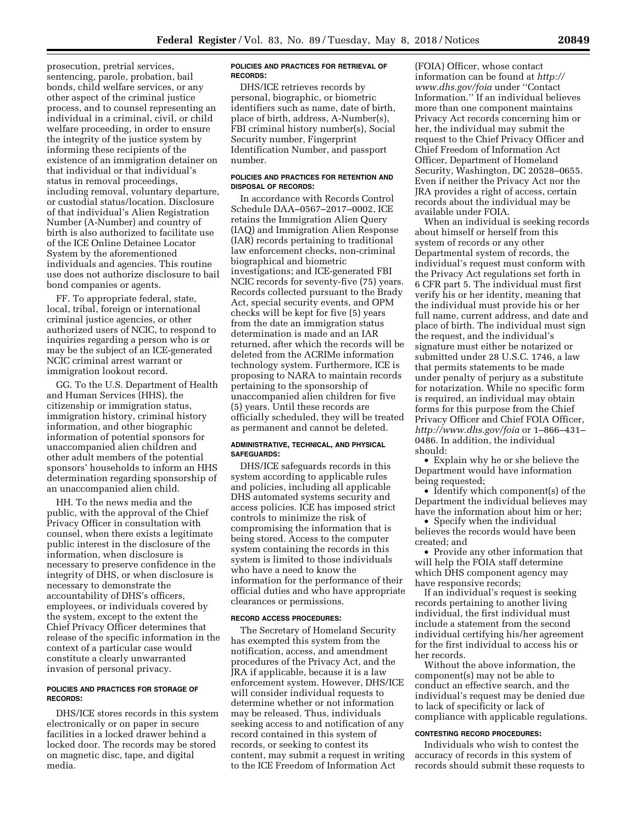prosecution, pretrial services, sentencing, parole, probation, bail bonds, child welfare services, or any other aspect of the criminal justice process, and to counsel representing an individual in a criminal, civil, or child welfare proceeding, in order to ensure the integrity of the justice system by informing these recipients of the existence of an immigration detainer on that individual or that individual's status in removal proceedings, including removal, voluntary departure, or custodial status/location. Disclosure of that individual's Alien Registration Number (A-Number) and country of birth is also authorized to facilitate use of the ICE Online Detainee Locator System by the aforementioned individuals and agencies. This routine use does not authorize disclosure to bail bond companies or agents.

FF. To appropriate federal, state, local, tribal, foreign or international criminal justice agencies, or other authorized users of NCIC, to respond to inquiries regarding a person who is or may be the subject of an ICE-generated NCIC criminal arrest warrant or immigration lookout record.

GG. To the U.S. Department of Health and Human Services (HHS), the citizenship or immigration status, immigration history, criminal history information, and other biographic information of potential sponsors for unaccompanied alien children and other adult members of the potential sponsors' households to inform an HHS determination regarding sponsorship of an unaccompanied alien child.

HH. To the news media and the public, with the approval of the Chief Privacy Officer in consultation with counsel, when there exists a legitimate public interest in the disclosure of the information, when disclosure is necessary to preserve confidence in the integrity of DHS, or when disclosure is necessary to demonstrate the accountability of DHS's officers, employees, or individuals covered by the system, except to the extent the Chief Privacy Officer determines that release of the specific information in the context of a particular case would constitute a clearly unwarranted invasion of personal privacy.

## **POLICIES AND PRACTICES FOR STORAGE OF RECORDS:**

DHS/ICE stores records in this system electronically or on paper in secure facilities in a locked drawer behind a locked door. The records may be stored on magnetic disc, tape, and digital media.

#### **POLICIES AND PRACTICES FOR RETRIEVAL OF RECORDS:**

DHS/ICE retrieves records by personal, biographic, or biometric identifiers such as name, date of birth, place of birth, address, A-Number(s), FBI criminal history number(s), Social Security number, Fingerprint Identification Number, and passport number.

#### **POLICIES AND PRACTICES FOR RETENTION AND DISPOSAL OF RECORDS:**

In accordance with Records Control Schedule DAA–0567–2017–0002, ICE retains the Immigration Alien Query (IAQ) and Immigration Alien Response (IAR) records pertaining to traditional law enforcement checks, non-criminal biographical and biometric investigations; and ICE-generated FBI NCIC records for seventy-five (75) years. Records collected pursuant to the Brady Act, special security events, and OPM checks will be kept for five (5) years from the date an immigration status determination is made and an IAR returned, after which the records will be deleted from the ACRIMe information technology system. Furthermore, ICE is proposing to NARA to maintain records pertaining to the sponsorship of unaccompanied alien children for five (5) years. Until these records are officially scheduled, they will be treated as permanent and cannot be deleted.

## **ADMINISTRATIVE, TECHNICAL, AND PHYSICAL SAFEGUARDS:**

DHS/ICE safeguards records in this system according to applicable rules and policies, including all applicable DHS automated systems security and access policies. ICE has imposed strict controls to minimize the risk of compromising the information that is being stored. Access to the computer system containing the records in this system is limited to those individuals who have a need to know the information for the performance of their official duties and who have appropriate clearances or permissions.

### **RECORD ACCESS PROCEDURES:**

The Secretary of Homeland Security has exempted this system from the notification, access, and amendment procedures of the Privacy Act, and the JRA if applicable, because it is a law enforcement system. However, DHS/ICE will consider individual requests to determine whether or not information may be released. Thus, individuals seeking access to and notification of any record contained in this system of records, or seeking to contest its content, may submit a request in writing to the ICE Freedom of Information Act

(FOIA) Officer, whose contact information can be found at *[http://](http://www.dhs.gov/foia) [www.dhs.gov/foia](http://www.dhs.gov/foia)* under ''Contact Information.'' If an individual believes more than one component maintains Privacy Act records concerning him or her, the individual may submit the request to the Chief Privacy Officer and Chief Freedom of Information Act Officer, Department of Homeland Security, Washington, DC 20528–0655. Even if neither the Privacy Act nor the JRA provides a right of access, certain records about the individual may be available under FOIA.

When an individual is seeking records about himself or herself from this system of records or any other Departmental system of records, the individual's request must conform with the Privacy Act regulations set forth in 6 CFR part 5. The individual must first verify his or her identity, meaning that the individual must provide his or her full name, current address, and date and place of birth. The individual must sign the request, and the individual's signature must either be notarized or submitted under 28 U.S.C. 1746, a law that permits statements to be made under penalty of perjury as a substitute for notarization. While no specific form is required, an individual may obtain forms for this purpose from the Chief Privacy Officer and Chief FOIA Officer, *<http://www.dhs.gov/foia>*or 1–866–431– 0486. In addition, the individual should:

• Explain why he or she believe the Department would have information being requested;

• Identify which component(s) of the Department the individual believes may have the information about him or her;

• Specify when the individual believes the records would have been created; and

• Provide any other information that will help the FOIA staff determine which DHS component agency may have responsive records;

If an individual's request is seeking records pertaining to another living individual, the first individual must include a statement from the second individual certifying his/her agreement for the first individual to access his or her records.

Without the above information, the component(s) may not be able to conduct an effective search, and the individual's request may be denied due to lack of specificity or lack of compliance with applicable regulations.

## **CONTESTING RECORD PROCEDURES:**

Individuals who wish to contest the accuracy of records in this system of records should submit these requests to